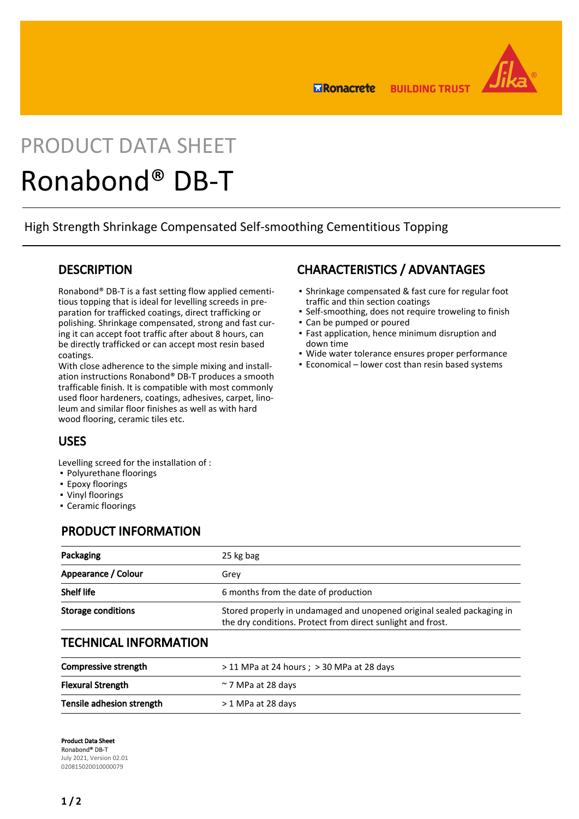

**ERonacrete BUILDING TRUST** 

# PRODUCT DATA SHEET Ronabond® DB-T

High Strength Shrinkage Compensated Self-smoothing Cementitious Topping

#### **DESCRIPTION**

Ronabond® DB-T is a fast setting flow applied cementitious topping that is ideal for levelling screeds in preparation for trafficked coatings, direct trafficking or polishing. Shrinkage compensated, strong and fast curing it can accept foot traffic after about 8 hours, can be directly trafficked or can accept most resin based coatings.

With close adherence to the simple mixing and installation instructions Ronabond® DB-T produces a smooth trafficable finish. It is compatible with most commonly used floor hardeners, coatings, adhesives, carpet, linoleum and similar floor finishes as well as with hard wood flooring, ceramic tiles etc.

# CHARACTERISTICS / ADVANTAGES

- Shrinkage compensated & fast cure for regular foot traffic and thin section coatings
- Self-smoothing, does not require troweling to finish
- Can be pumped or poured
- Fast application, hence minimum disruption and down time
- Wide water tolerance ensures proper performance
- **Economical lower cost than resin based systems**

## USES

Levelling screed for the installation of :

- Polyurethane floorings
- **Epoxy floorings**
- Vinyl floorings
- Ceramic floorings

#### PRODUCT INFORMATION

| Packaging                 | 25 kg bag                                                                                                                             |
|---------------------------|---------------------------------------------------------------------------------------------------------------------------------------|
| Appearance / Colour       | Grev                                                                                                                                  |
| <b>Shelf life</b>         | 6 months from the date of production                                                                                                  |
| <b>Storage conditions</b> | Stored properly in undamaged and unopened original sealed packaging in<br>the dry conditions. Protect from direct sunlight and frost. |

#### TECHNICAL INFORMATION

| Compressive strength      | $>$ 11 MPa at 24 hours ; $>$ 30 MPa at 28 days |
|---------------------------|------------------------------------------------|
| <b>Flexural Strength</b>  | $\approx$ 7 MPa at 28 days                     |
| Tensile adhesion strength | > 1 MPa at 28 days                             |

Product Data Sheet Ronabond® DB-T July 2021, Version 02.01 020815020010000079